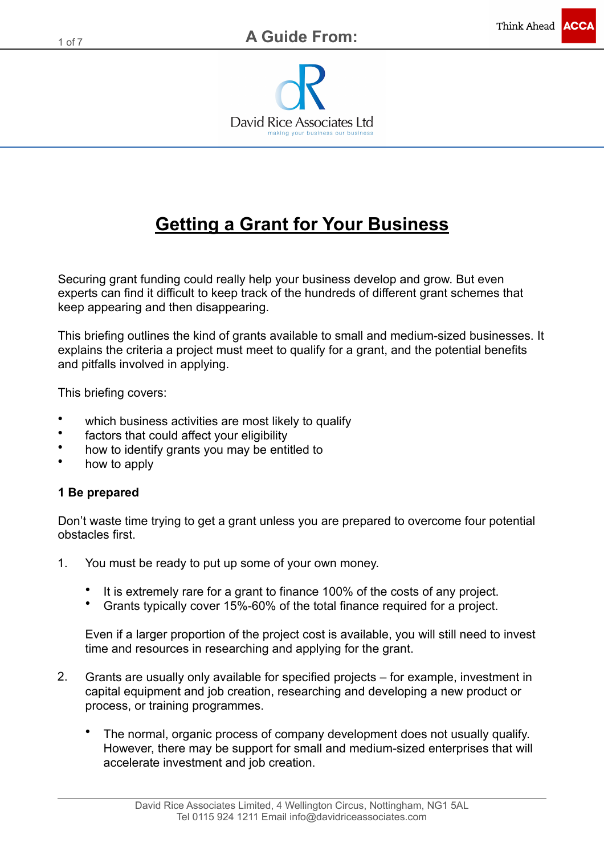

# **Getting a Grant for Your Business**

Securing grant funding could really help your business develop and grow. But even experts can find it difficult to keep track of the hundreds of different grant schemes that keep appearing and then disappearing.

This briefing outlines the kind of grants available to small and medium-sized businesses. It explains the criteria a project must meet to qualify for a grant, and the potential benefits and pitfalls involved in applying.

This briefing covers:

- which business activities are most likely to qualify
- factors that could affect your eligibility
- how to identify grants you may be entitled to
- how to apply

## **1 Be prepared**

Don't waste time trying to get a grant unless you are prepared to overcome four potential obstacles first.

- 1. You must be ready to put up some of your own money.
	- It is extremely rare for a grant to finance 100% of the costs of any project.
	- Grants typically cover 15%-60% of the total finance required for a project.

Even if a larger proportion of the project cost is available, you will still need to invest time and resources in researching and applying for the grant.

- 2. Grants are usually only available for specified projects for example, investment in capital equipment and job creation, researching and developing a new product or process, or training programmes.
	- The normal, organic process of company development does not usually qualify. However, there may be support for small and medium-sized enterprises that will accelerate investment and job creation.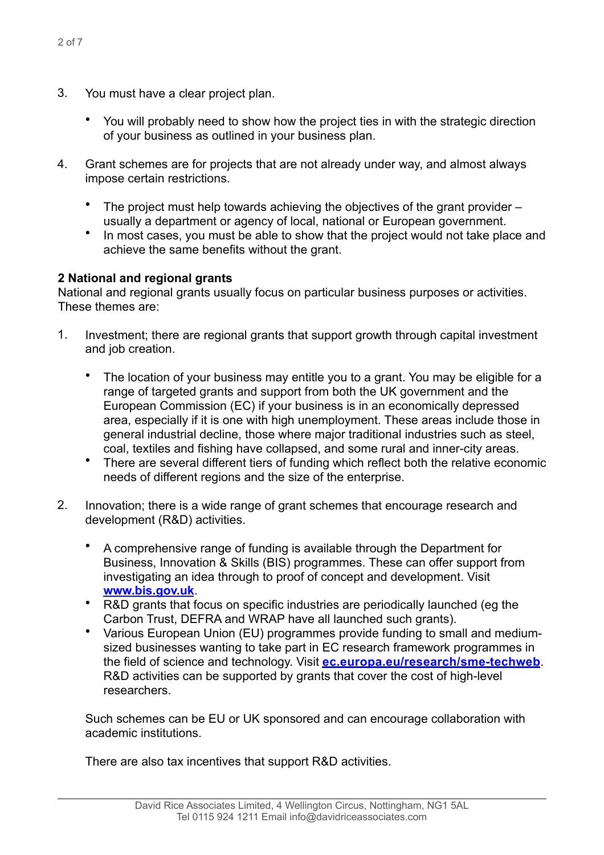- You will probably need to show how the project ties in with the strategic direction of your business as outlined in your business plan.
- 4. Grant schemes are for projects that are not already under way, and almost always impose certain restrictions.
	- The project must help towards achieving the objectives of the grant provider usually a department or agency of local, national or European government.
	- In most cases, you must be able to show that the project would not take place and achieve the same benefits without the grant.

# **2 National and regional grants**

National and regional grants usually focus on particular business purposes or activities. These themes are:

- 1. Investment; there are regional grants that support growth through capital investment and job creation.
	- The location of your business may entitle you to a grant. You may be eligible for a range of targeted grants and support from both the UK government and the European Commission (EC) if your business is in an economically depressed area, especially if it is one with high unemployment. These areas include those in general industrial decline, those where major traditional industries such as steel, coal, textiles and fishing have collapsed, and some rural and inner-city areas.
	- There are several different tiers of funding which reflect both the relative economic needs of different regions and the size of the enterprise.
- 2. Innovation; there is a wide range of grant schemes that encourage research and development (R&D) activities.
	- A comprehensive range of funding is available through the Department for Business, Innovation & Skills (BIS) programmes. These can offer support from investigating an idea through to proof of concept and development. Visit **[www.bis.gov.uk](http://www.bis.gov.uk)**.
	- R&D grants that focus on specific industries are periodically launched (eg the Carbon Trust, DEFRA and WRAP have all launched such grants).
	- Various European Union (EU) programmes provide funding to small and mediumsized businesses wanting to take part in EC research framework programmes in the field of science and technology. Visit **[ec.europa.eu/research/sme-techweb](http://ec.europa.eu/research/sme-techweb/)**. R&D activities can be supported by grants that cover the cost of high-level researchers.

Such schemes can be EU or UK sponsored and can encourage collaboration with academic institutions.

There are also tax incentives that support R&D activities.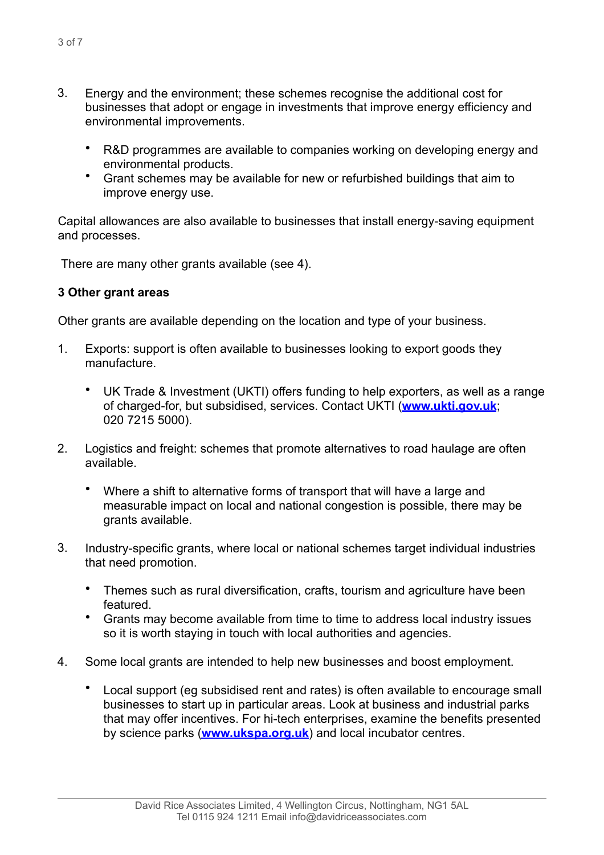- 3. Energy and the environment; these schemes recognise the additional cost for businesses that adopt or engage in investments that improve energy efficiency and environmental improvements.
	- R&D programmes are available to companies working on developing energy and environmental products.
	- Grant schemes may be available for new or refurbished buildings that aim to improve energy use.

Capital allowances are also available to businesses that install energy-saving equipment and processes.

There are many other grants available (see 4).

## **3 Other grant areas**

Other grants are available depending on the location and type of your business.

- 1. Exports: support is often available to businesses looking to export goods they manufacture.
	- UK Trade & Investment (UKTI) offers funding to help exporters, as well as a range of charged-for, but subsidised, services. Contact UKTI (**[www.ukti.gov.uk](http://www.ukti.gov.uk)**; 020 7215 5000).
- 2. Logistics and freight: schemes that promote alternatives to road haulage are often available.
	- Where a shift to alternative forms of transport that will have a large and measurable impact on local and national congestion is possible, there may be grants available.
- 3. Industry-specific grants, where local or national schemes target individual industries that need promotion.
	- Themes such as rural diversification, crafts, tourism and agriculture have been featured.
	- Grants may become available from time to time to address local industry issues so it is worth staying in touch with local authorities and agencies.
- 4. Some local grants are intended to help new businesses and boost employment.
	- Local support (eg subsidised rent and rates) is often available to encourage small businesses to start up in particular areas. Look at business and industrial parks that may offer incentives. For hi-tech enterprises, examine the benefits presented by science parks (**[www.ukspa.org.uk](http://www.ukspa.org.uk)**) and local incubator centres.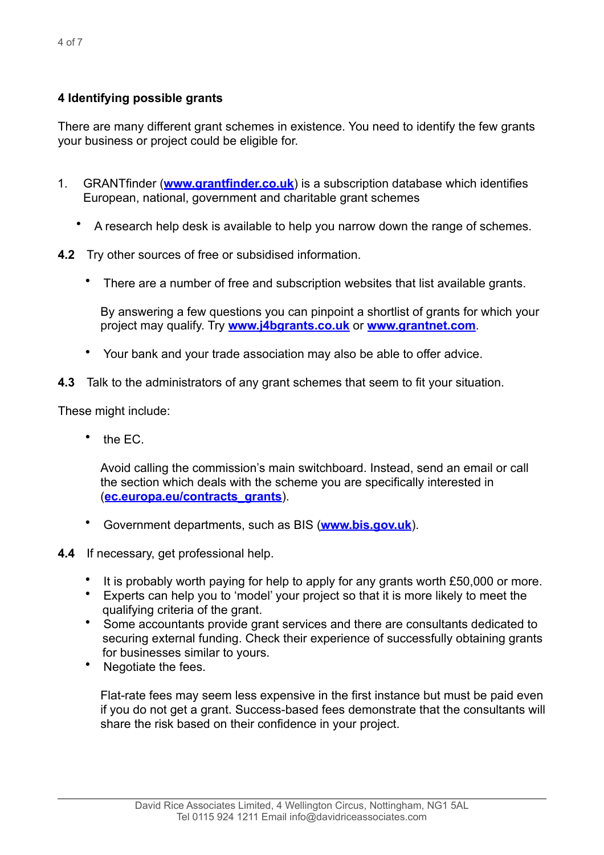# **4 Identifying possible grants**

There are many different grant schemes in existence. You need to identify the few grants your business or project could be eligible for.

- 1. GRANTfinder (**[www.grantfinder.co.uk](http://www.grantfinder.co.uk)**) is a subscription database which identifies European, national, government and charitable grant schemes
	- A research help desk is available to help you narrow down the range of schemes.
- **4.2** Try other sources of free or subsidised information.
	- There are a number of free and subscription websites that list available grants.

By answering a few questions you can pinpoint a shortlist of grants for which your project may qualify. Try **[www.j4bgrants.co.uk](http://www.j4bgrants.co.uk)** or **[www.grantnet.com](http://www.grantnet.com)**.

- Your bank and your trade association may also be able to offer advice.
- **4.3** Talk to the administrators of any grant schemes that seem to fit your situation.

These might include:

• the EC.

Avoid calling the commission's main switchboard. Instead, send an email or call the section which deals with the scheme you are specifically interested in (**[ec.europa.eu/contracts\\_grants](http://ec.europa.eu/contracts_grants/)**).

- Government departments, such as BIS (**[www.bis.gov.uk](http://www.bis.gov.uk)**).
- **4.4** If necessary, get professional help.
	- It is probably worth paying for help to apply for any grants worth £50,000 or more.
	- Experts can help you to 'model' your project so that it is more likely to meet the qualifying criteria of the grant.
	- Some accountants provide grant services and there are consultants dedicated to securing external funding. Check their experience of successfully obtaining grants for businesses similar to yours.
	- Negotiate the fees.

Flat-rate fees may seem less expensive in the first instance but must be paid even if you do not get a grant. Success-based fees demonstrate that the consultants will share the risk based on their confidence in your project.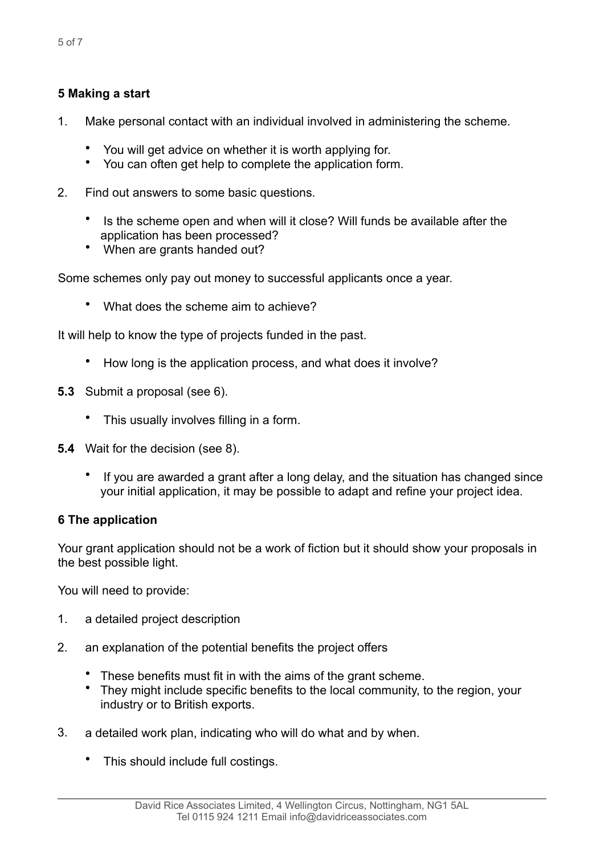- 1. Make personal contact with an individual involved in administering the scheme.
	- You will get advice on whether it is worth applying for.
	- You can often get help to complete the application form.
- 2. Find out answers to some basic questions.
	- Is the scheme open and when will it close? Will funds be available after the application has been processed?
	- When are grants handed out?

Some schemes only pay out money to successful applicants once a year.

• What does the scheme aim to achieve?

It will help to know the type of projects funded in the past.

- How long is the application process, and what does it involve?
- **5.3** Submit a proposal (see 6).
	- This usually involves filling in a form.
- **5.4** Wait for the decision (see 8).
	- If you are awarded a grant after a long delay, and the situation has changed since your initial application, it may be possible to adapt and refine your project idea.

#### **6 The application**

Your grant application should not be a work of fiction but it should show your proposals in the best possible light.

You will need to provide:

- 1. a detailed project description
- 2. an explanation of the potential benefits the project offers
	- These benefits must fit in with the aims of the grant scheme.
	- They might include specific benefits to the local community, to the region, your industry or to British exports.
- 3. a detailed work plan, indicating who will do what and by when.
	- This should include full costings.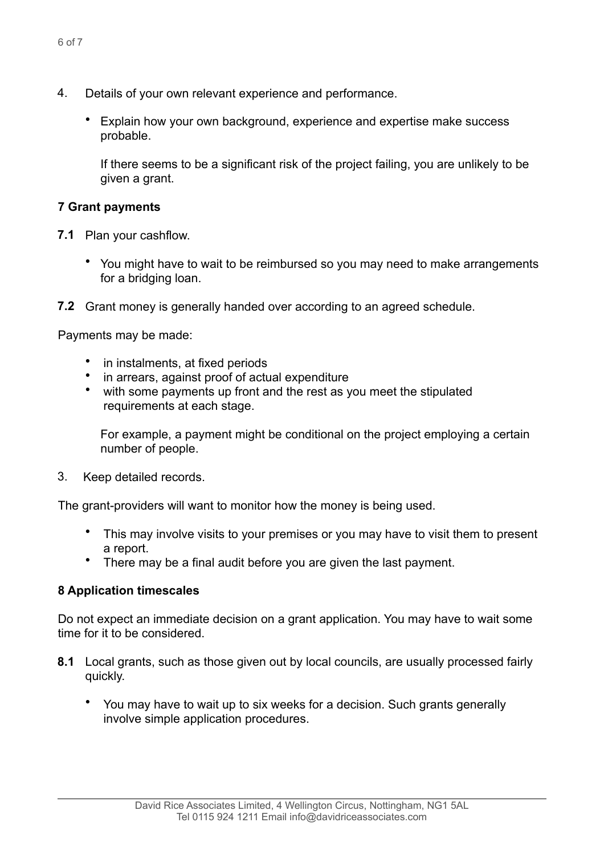- 4. Details of your own relevant experience and performance.
	- Explain how your own background, experience and expertise make success probable.

If there seems to be a significant risk of the project failing, you are unlikely to be given a grant.

#### **7 Grant payments**

- **7.1** Plan your cashflow.
	- You might have to wait to be reimbursed so you may need to make arrangements for a bridging loan.
- **7.2** Grant money is generally handed over according to an agreed schedule.

Payments may be made:

- in instalments, at fixed periods
- in arrears, against proof of actual expenditure
- with some payments up front and the rest as you meet the stipulated requirements at each stage.

For example, a payment might be conditional on the project employing a certain number of people.

3. Keep detailed records.

The grant-providers will want to monitor how the money is being used.

- This may involve visits to your premises or you may have to visit them to present a report.
- There may be a final audit before you are given the last payment.

## **8 Application timescales**

Do not expect an immediate decision on a grant application. You may have to wait some time for it to be considered.

- **8.1** Local grants, such as those given out by local councils, are usually processed fairly quickly.
	- You may have to wait up to six weeks for a decision. Such grants generally involve simple application procedures.